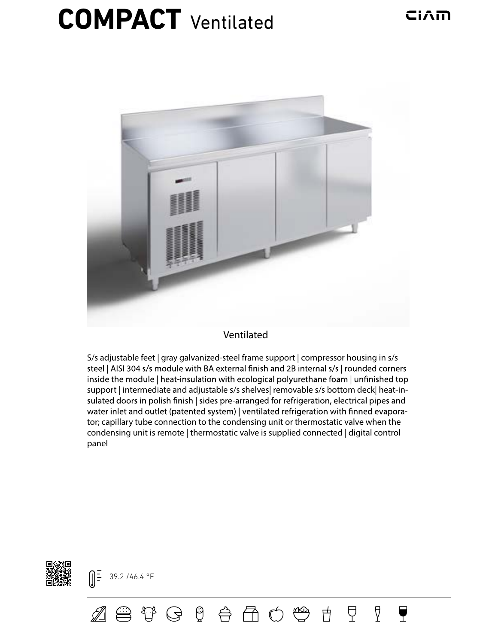## CiAm

## **COMPACT** Ventilated



## Ventilated

S/s adjustable feet | gray galvanized-steel frame support | compressor housing in s/s steel | AISI 304 s/s module with BA external finish and 2B internal s/s | rounded corners inside the module | heat-insulation with ecological polyurethane foam | unfinished top support | intermediate and adjustable s/s shelves| removable s/s bottom deck| heat-insulated doors in polish finish | sides pre-arranged for refrigeration, electrical pipes and water inlet and outlet (patented system) | ventilated refrigeration with finned evaporator; capillary tube connection to the condensing unit or thermostatic valve when the condensing unit is remote | thermostatic valve is supplied connected | digital control panel

廿

모

Å

Y



 $\left[\right]\frac{1}{2}$  39.2 /46.4 °F

 $\mathbb Z$  a thigheral and  $\mathfrak A$  and  $\mathfrak A$